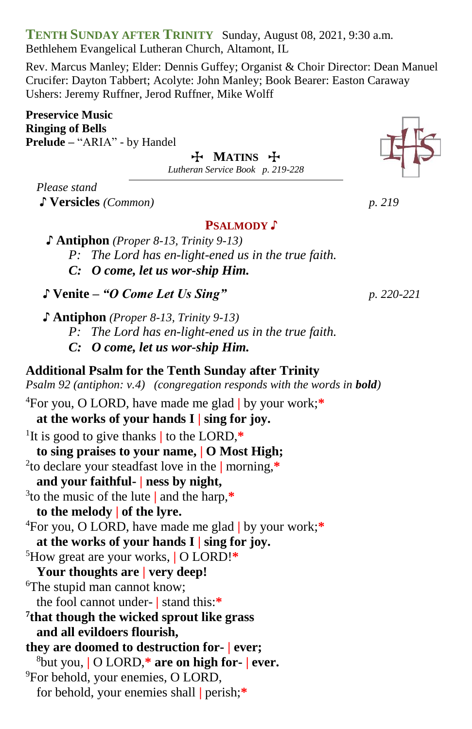**TENTH SUNDAY AFTER TRINITY** Sunday, August 08, 2021, 9:30 a.m. Bethlehem Evangelical Lutheran Church, Altamont, IL

Rev. Marcus Manley; Elder: Dennis Guffey; Organist & Choir Director: Dean Manuel Crucifer: Dayton Tabbert; Acolyte: John Manley; Book Bearer: Easton Caraway Ushers: Jeremy Ruffner, Jerod Ruffner, Mike Wolff

**Preservice Music Ringing of Bells Prelude –** "ARIA" - by Handel

T **MATINS** T

*Lutheran Service Book p. 219-228*

*Please stand*

♪ **Versicles** *(Common) p. 219* 

### **PSALMODY** ♪

 **♪ Antiphon** *(Proper 8-13, Trinity 9-13)*

*P: The Lord has en-light-ened us in the true faith.*

*C: O come, let us wor-ship Him.*

- ♪ **Venite –** *"O Come Let Us Sing" p. 220-221*
- **♪ Antiphon** *(Proper 8-13, Trinity 9-13) P: The Lord has en-light-ened us in the true faith. C: O come, let us wor-ship Him.*

**Additional Psalm for the Tenth Sunday after Trinity** *Psalm 92 (antiphon: v.4) (congregation responds with the words in bold)* 

<sup>4</sup>For you, O LORD, have made me glad **|** by your work;**\* at the works of your hands I | sing for joy.** 1 It is good to give thanks **|** to the LORD,**\* to sing praises to your name, | O Most High;** 2 to declare your steadfast love in the **|** morning,**\* and your faithful- | ness by night,** 3 to the music of the lute **|** and the harp,**\* to the melody | of the lyre.** <sup>4</sup>For you, O LORD, have made me glad **|** by your work;**\* at the works of your hands I | sing for joy.** <sup>5</sup>How great are your works, **|** O LORD!**\* Your thoughts are | very deep!** <sup>6</sup>The stupid man cannot know; the fool cannot under- **|** stand this:**\* 7 that though the wicked sprout like grass and all evildoers flourish, they are doomed to destruction for- | ever;** <sup>8</sup>but you, **|** O LORD,**\* are on high for- | ever.** <sup>9</sup>For behold, your enemies, O LORD, for behold, your enemies shall **|** perish;**\***

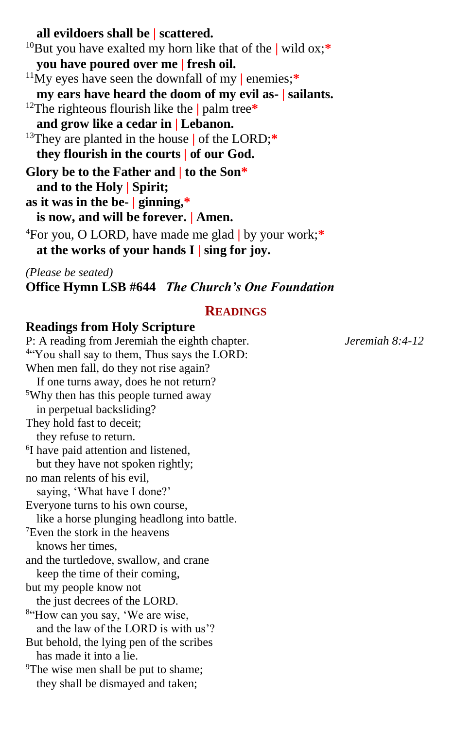**all evildoers shall be | scattered.** <sup>10</sup>But you have exalted my horn like that of the **|** wild ox;**\* you have poured over me | fresh oil.** <sup>11</sup>My eyes have seen the downfall of my **|** enemies;**\* my ears have heard the doom of my evil as- | sailants.** <sup>12</sup>The righteous flourish like the **|** palm tree**\* and grow like a cedar in | Lebanon.** <sup>13</sup>They are planted in the house **|** of the LORD;**\* they flourish in the courts | of our God. Glory be to the Father and | to the Son\* and to the Holy | Spirit; as it was in the be- | ginning,\* is now, and will be forever. | Amen.** <sup>4</sup>For you, O LORD, have made me glad **|** by your work;**\* at the works of your hands I | sing for joy.**

*(Please be seated)*

**Office Hymn LSB #644** *The Church's One Foundation*

### **READINGS**

### **Readings from Holy Scripture**

P: A reading from Jeremiah the eighth chapter.*Jeremiah 8:4-12* 4 "You shall say to them, Thus says the LORD: When men fall, do they not rise again? If one turns away, does he not return? <sup>5</sup>Why then has this people turned away in perpetual backsliding? They hold fast to deceit; they refuse to return. <sup>6</sup>I have paid attention and listened, but they have not spoken rightly; no man relents of his evil, saying, 'What have I done?' Everyone turns to his own course, like a horse plunging headlong into battle. <sup>7</sup>Even the stork in the heavens knows her times, and the turtledove, swallow, and crane keep the time of their coming, but my people know not the just decrees of the LORD. <sup>8"</sup>How can you say, 'We are wise, and the law of the LORD is with us'? But behold, the lying pen of the scribes has made it into a lie. <sup>9</sup>The wise men shall be put to shame; they shall be dismayed and taken;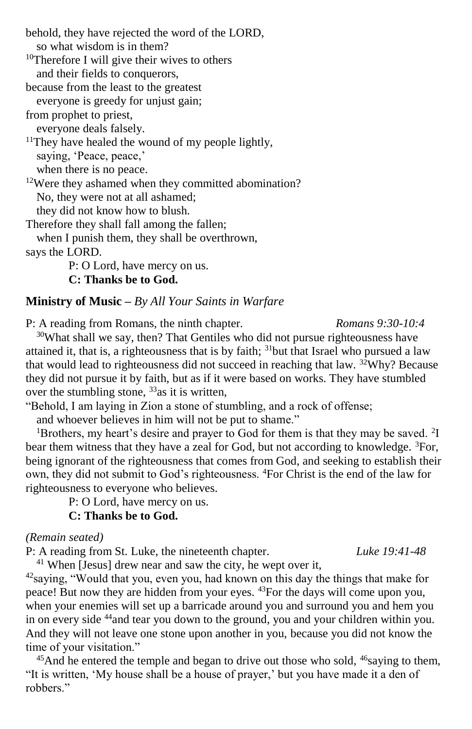behold, they have rejected the word of the LORD, so what wisdom is in them? <sup>10</sup>Therefore I will give their wives to others and their fields to conquerors, because from the least to the greatest everyone is greedy for unjust gain; from prophet to priest, everyone deals falsely.  $11$ They have healed the wound of my people lightly, saying, 'Peace, peace,' when there is no peace. <sup>12</sup>Were they ashamed when they committed abomination? No, they were not at all ashamed; they did not know how to blush. Therefore they shall fall among the fallen; when I punish them, they shall be overthrown, says the LORD. P: O Lord, have mercy on us.

**C: Thanks be to God.**

#### **Ministry of Music –** *By All Your Saints in Warfare*

P: A reading from Romans, the ninth chapter*. Romans 9:30-10:4*

 $30$ What shall we say, then? That Gentiles who did not pursue righteousness have attained it, that is, a righteousness that is by faith; <sup>31</sup>but that Israel who pursued a law that would lead to righteousness did not succeed in reaching that law.  $32$ Why? Because they did not pursue it by faith, but as if it were based on works. They have stumbled over the stumbling stone,  $33$  as it is written,

"Behold, I am laying in Zion a stone of stumbling, and a rock of offense;

and whoever believes in him will not be put to shame."

<sup>1</sup>Brothers, my heart's desire and prayer to God for them is that they may be saved.  $2I$ bear them witness that they have a zeal for God, but not according to knowledge. <sup>3</sup>For, being ignorant of the righteousness that comes from God, and seeking to establish their own, they did not submit to God's righteousness. <sup>4</sup>For Christ is the end of the law for righteousness to everyone who believes.

P: O Lord, have mercy on us.

**C: Thanks be to God.**

*(Remain seated)*

P: A reading from St. Luke, the nineteenth chapter. *Luke 19:41-48*

<sup>41</sup> When [Jesus] drew near and saw the city, he wept over it,

<sup>42</sup>saying, "Would that you, even you, had known on this day the things that make for peace! But now they are hidden from your eyes. <sup>43</sup>For the days will come upon you, when your enemies will set up a barricade around you and surround you and hem you in on every side <sup>44</sup>and tear you down to the ground, you and your children within you. And they will not leave one stone upon another in you, because you did not know the time of your visitation."

 $45$ And he entered the temple and began to drive out those who sold,  $46$ saying to them, "It is written, 'My house shall be a house of prayer,' but you have made it a den of robbers."